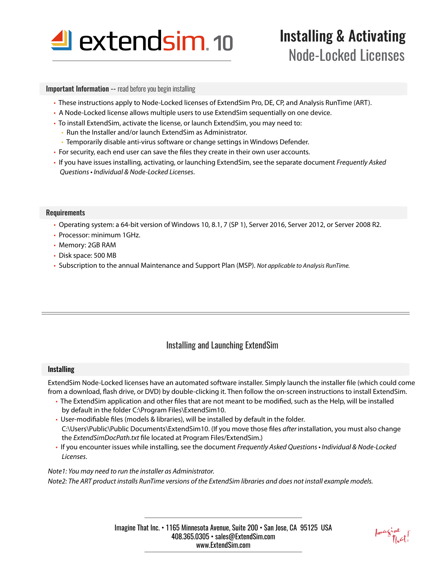

# Installing & Activating Node-Locked Licenses

#### **Important Information -- read before you begin installing**

- These instructions apply to Node-Locked licenses of ExtendSim Pro, DE, CP, and Analysis RunTime (ART).
- A Node-Locked license allows multiple users to use ExtendSim sequentially on one device.
- To install ExtendSim, activate the license, or launch ExtendSim, you may need to:
	- Run the Installer and/or launch ExtendSim as Administrator.
	- Temporarily disable anti-virus software or change settings in Windows Defender.
- For security, each end user can save the files they create in their own user accounts.
- If you have issues installing, activating, or launching ExtendSim, see the separate document *Frequently Asked*  Questions • Individual & Node-Locked Licenses.

#### Requirements

- Operating system: a 64-bit version of Windows 10, 8.1, 7 (SP 1), Server 2016, Server 2012, or Server 2008 R2.
- Processor: minimum 1GHz.
- Memory: 2GB RAM
- Disk space: 500 MB
- Subscription to the annual Maintenance and Support Plan (MSP). Not applicable to Analysis RunTime.

# Installing and Launching ExtendSim

### **Installing**

ExtendSim Node-Locked licenses have an automated software installer. Simply launch the installer file (which could come from a download, flash drive, or DVD) by double-clicking it. Then follow the on-screen instructions to install ExtendSim.

- The ExtendSim application and other files that are not meant to be modified, such as the Help, will be installed by default in the folder C:\Program Files\ExtendSim10.
- User-modifiable files (models & libraries), will be installed by default in the folder. C:\Users\Public\Public Documents\ExtendSim10. (If you move those files *after* installation, you must also change the **ExtendSimDocPath.txt** file located at Program Files/ExtendSim.)
- If you encounter issues while installing, see the document Frequently Asked Questions Individual & Node-Locked Licenses.

Note1: You may need to run the installer as Administrator*.* Note2: The ART product installs RunTime versions of the ExtendSim libraries and does not install example models.

Imagine<br>That